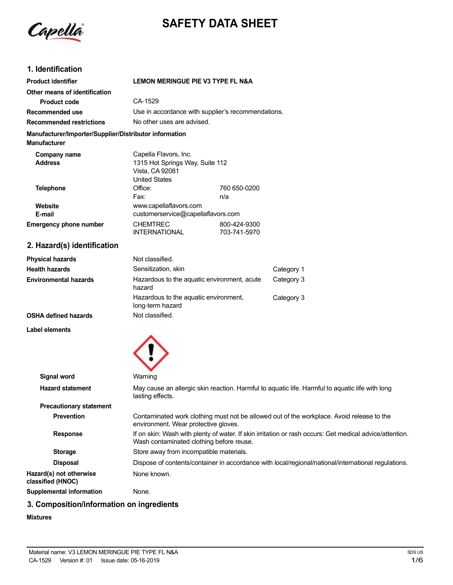Capella

# **SAFETY DATA SHEET**

# **1. Identification**

| <b>Product identifier</b>                                                     | <b>LEMON MERINGUE PIE V3 TYPE FL N&amp;A</b>             |                                                    |
|-------------------------------------------------------------------------------|----------------------------------------------------------|----------------------------------------------------|
| Other means of identification                                                 |                                                          |                                                    |
| Product code                                                                  | CA-1529                                                  |                                                    |
| Recommended use                                                               |                                                          | Use in accordance with supplier's recommendations. |
| <b>Recommended restrictions</b>                                               | No other uses are advised.                               |                                                    |
| Manufacturer/Importer/Supplier/Distributor information<br><b>Manufacturer</b> |                                                          |                                                    |
| Company name<br><b>Address</b>                                                | Capella Flavors, Inc.<br>1315 Hot Springs Way, Suite 112 |                                                    |
|                                                                               | Vista, CA 92081<br><b>United States</b>                  |                                                    |
| Telephone                                                                     | Office:                                                  | 760 650-0200                                       |
|                                                                               | Fax:                                                     | n/a                                                |
| Website                                                                       | www.capellaflavors.com                                   |                                                    |
| E-mail                                                                        | customerservice@capellaflavors.com                       |                                                    |
| <b>Emergency phone number</b>                                                 | <b>CHEMTREC</b>                                          | 800-424-9300                                       |
|                                                                               | <b>INTERNATIONAL</b>                                     | 703-741-5970                                       |

# **2. Hazard(s) identification**

| <b>Physical hazards</b> | Not classified.                                           |            |
|-------------------------|-----------------------------------------------------------|------------|
| Health hazards          | Sensitization, skin                                       | Category 1 |
| Environmental hazards   | Hazardous to the aquatic environment, acute<br>hazard     | Category 3 |
|                         | Hazardous to the aquatic environment,<br>long-term hazard | Category 3 |
| OSHA defined hazards    | Not classified.                                           |            |

## **Label elements**



| Signal word                                  | Warning                                                                                                                                             |
|----------------------------------------------|-----------------------------------------------------------------------------------------------------------------------------------------------------|
| <b>Hazard statement</b>                      | May cause an allergic skin reaction. Harmful to aguatic life. Harmful to aguatic life with long<br>lasting effects.                                 |
| <b>Precautionary statement</b>               |                                                                                                                                                     |
| <b>Prevention</b>                            | Contaminated work clothing must not be allowed out of the workplace. Avoid release to the<br>environment. Wear protective gloves.                   |
| <b>Response</b>                              | If on skin: Wash with plenty of water. If skin irritation or rash occurs: Get medical advice/attention.<br>Wash contaminated clothing before reuse. |
| <b>Storage</b>                               | Store away from incompatible materials.                                                                                                             |
| <b>Disposal</b>                              | Dispose of contents/container in accordance with local/regional/national/international regulations.                                                 |
| Hazard(s) not otherwise<br>classified (HNOC) | None known.                                                                                                                                         |
| <b>Supplemental information</b>              | None.                                                                                                                                               |

# **3. Composition/information on ingredients**

## **Mixtures**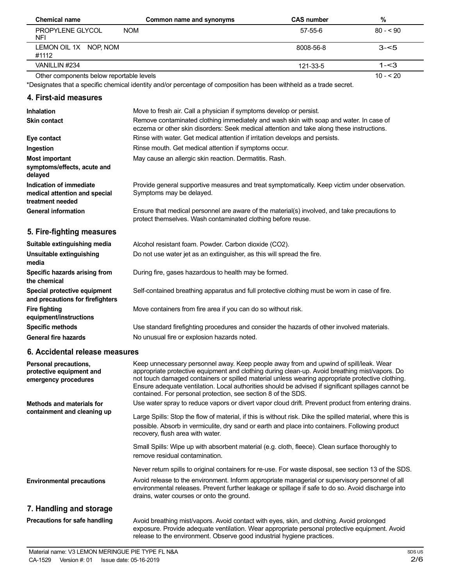| <b>Chemical name</b>                     | Common name and synonyms | <b>CAS number</b> | %          |
|------------------------------------------|--------------------------|-------------------|------------|
| PROPYLENE GLYCOL<br><b>NFI</b>           | <b>NOM</b>               | 57-55-6           | $80 - 90$  |
| LEMON OIL 1X NOP, NOM<br>#1112           |                          | 8008-56-8         | $3 - 5$    |
| VANILLIN #234                            |                          | 121-33-5          | $1 - 3$    |
| Other components below reportable levels |                          |                   | $10 - 520$ |

Other components below reportable levels

\*Designates that a specific chemical identity and/or percentage of composition has been withheld as a trade secret.

## **4. First-aid measures**

| <b>Inhalation</b>                                                            | Move to fresh air. Call a physician if symptoms develop or persist.                                                                                                                 |
|------------------------------------------------------------------------------|-------------------------------------------------------------------------------------------------------------------------------------------------------------------------------------|
| <b>Skin contact</b>                                                          | Remove contaminated clothing immediately and wash skin with soap and water. In case of<br>eczema or other skin disorders: Seek medical attention and take along these instructions. |
| Eye contact                                                                  | Rinse with water. Get medical attention if irritation develops and persists.                                                                                                        |
| Ingestion                                                                    | Rinse mouth. Get medical attention if symptoms occur.                                                                                                                               |
| <b>Most important</b><br>symptoms/effects, acute and<br>delayed              | May cause an allergic skin reaction. Dermatitis. Rash.                                                                                                                              |
| Indication of immediate<br>medical attention and special<br>treatment needed | Provide general supportive measures and treat symptomatically. Keep victim under observation.<br>Symptoms may be delayed.                                                           |
| <b>General information</b>                                                   | Ensure that medical personnel are aware of the material(s) involved, and take precautions to<br>protect themselves. Wash contaminated clothing before reuse.                        |
|                                                                              |                                                                                                                                                                                     |
| 5. Fire-fighting measures                                                    |                                                                                                                                                                                     |
| Suitable extinguishing media                                                 | Alcohol resistant foam. Powder. Carbon dioxide (CO2).                                                                                                                               |
| Unsuitable extinguishing<br>media                                            | Do not use water jet as an extinguisher, as this will spread the fire.                                                                                                              |
| Specific hazards arising from<br>the chemical                                | During fire, gases hazardous to health may be formed.                                                                                                                               |
| Special protective equipment<br>and precautions for firefighters             | Self-contained breathing apparatus and full protective clothing must be worn in case of fire.                                                                                       |
| <b>Fire fighting</b><br>equipment/instructions                               | Move containers from fire area if you can do so without risk.                                                                                                                       |
| <b>Specific methods</b><br><b>General fire hazards</b>                       | Use standard firefighting procedures and consider the hazards of other involved materials.<br>No unusual fire or explosion hazards noted.                                           |

## **6. Accidental release measures**

| Personal precautions,<br>protective equipment and<br>emergency procedures | Keep unnecessary personnel away. Keep people away from and upwind of spill/leak. Wear<br>appropriate protective equipment and clothing during clean-up. Avoid breathing mist/vapors. Do<br>not touch damaged containers or spilled material unless wearing appropriate protective clothing.<br>Ensure adequate ventilation. Local authorities should be advised if significant spillages cannot be<br>contained. For personal protection, see section 8 of the SDS. |
|---------------------------------------------------------------------------|---------------------------------------------------------------------------------------------------------------------------------------------------------------------------------------------------------------------------------------------------------------------------------------------------------------------------------------------------------------------------------------------------------------------------------------------------------------------|
| Methods and materials for                                                 | Use water spray to reduce vapors or divert vapor cloud drift. Prevent product from entering drains.                                                                                                                                                                                                                                                                                                                                                                 |
| containment and cleaning up                                               | Large Spills: Stop the flow of material, if this is without risk. Dike the spilled material, where this is<br>possible. Absorb in vermiculite, dry sand or earth and place into containers. Following product<br>recovery, flush area with water.                                                                                                                                                                                                                   |
|                                                                           | Small Spills: Wipe up with absorbent material (e.g. cloth, fleece). Clean surface thoroughly to<br>remove residual contamination.                                                                                                                                                                                                                                                                                                                                   |
|                                                                           | Never return spills to original containers for re-use. For waste disposal, see section 13 of the SDS.                                                                                                                                                                                                                                                                                                                                                               |
| <b>Environmental precautions</b>                                          | Avoid release to the environment. Inform appropriate managerial or supervisory personnel of all<br>environmental releases. Prevent further leakage or spillage if safe to do so. Avoid discharge into<br>drains, water courses or onto the ground.                                                                                                                                                                                                                  |
| 7. Handling and storage                                                   |                                                                                                                                                                                                                                                                                                                                                                                                                                                                     |
| Precautions for safe handling                                             | Avoid breathing mist/vapors. Avoid contact with eyes, skin, and clothing. Avoid prolonged<br>exposure. Provide adequate ventilation. Wear appropriate personal protective equipment. Avoid<br>release to the environment. Observe good industrial hygiene practices.                                                                                                                                                                                                |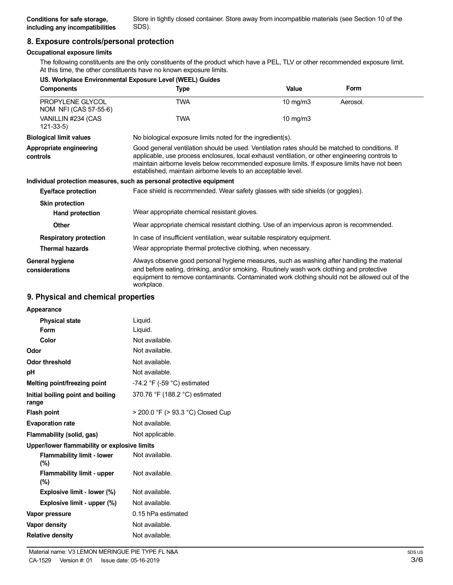Store in tightly closed container. Store away from incompatible materials (see Section 10 of the

# **8. Exposure controls/personal protection**

## **Occupational exposure limits**

The following constituents are the only constituents of the product which have a PEL, TLV or other recommended exposure limit. At this time, the other constituents have no known exposure limits.

|                                           | US. Workplace Environmental Exposure Level (WEEL) Guides                                                                                                                                                                                                                                                                                                           |             |          |
|-------------------------------------------|--------------------------------------------------------------------------------------------------------------------------------------------------------------------------------------------------------------------------------------------------------------------------------------------------------------------------------------------------------------------|-------------|----------|
| <b>Components</b>                         | Type                                                                                                                                                                                                                                                                                                                                                               | Value       | Form     |
| PROPYLENE GLYCOL<br>NOM NFI (CAS 57-55-6) | <b>TWA</b>                                                                                                                                                                                                                                                                                                                                                         | 10 mg/m $3$ | Aerosol. |
| VANILLIN #234 (CAS<br>$121 - 33 - 5$      | <b>TWA</b>                                                                                                                                                                                                                                                                                                                                                         | 10 $mg/m3$  |          |
| <b>Biological limit values</b>            | No biological exposure limits noted for the ingredient(s).                                                                                                                                                                                                                                                                                                         |             |          |
| Appropriate engineering<br>controls       | Good general ventilation should be used. Ventilation rates should be matched to conditions. If<br>applicable, use process enclosures, local exhaust ventilation, or other engineering controls to<br>maintain airborne levels below recommended exposure limits. If exposure limits have not been<br>established, maintain airborne levels to an acceptable level. |             |          |
|                                           | Individual protection measures, such as personal protective equipment                                                                                                                                                                                                                                                                                              |             |          |
| Eye/face protection                       | Face shield is recommended. Wear safety glasses with side shields (or goggles).                                                                                                                                                                                                                                                                                    |             |          |
| <b>Skin protection</b>                    |                                                                                                                                                                                                                                                                                                                                                                    |             |          |
| Hand protection                           | Wear appropriate chemical resistant gloves.                                                                                                                                                                                                                                                                                                                        |             |          |
| <b>Other</b>                              | Wear appropriate chemical resistant clothing. Use of an impervious apron is recommended.                                                                                                                                                                                                                                                                           |             |          |
| <b>Respiratory protection</b>             | In case of insufficient ventilation, wear suitable respiratory equipment.                                                                                                                                                                                                                                                                                          |             |          |
| <b>Thermal hazards</b>                    | Wear appropriate thermal protective clothing, when necessary.                                                                                                                                                                                                                                                                                                      |             |          |
| General hygiene<br>considerations         | Always observe good personal hygiene measures, such as washing after handling the material<br>and before eating, drinking, and/or smoking. Routinely wash work clothing and protective<br>equipment to remove contaminants. Contaminated work clothing should not be allowed out of the<br>workplace.                                                              |             |          |

## **9. Physical and chemical properties**

| Appearance                                   |                                               |
|----------------------------------------------|-----------------------------------------------|
| <b>Physical state</b>                        | Liquid.                                       |
| Form                                         | Liquid.                                       |
| Color                                        | Not available.                                |
| Odor                                         | Not available.                                |
| <b>Odor threshold</b>                        | Not available.                                |
| рH                                           | Not available.                                |
| Melting point/freezing point                 | -74.2 $\degree$ F (-59 $\degree$ C) estimated |
| Initial boiling point and boiling<br>range   | 370.76 °F (188.2 °C) estimated                |
| <b>Flash point</b>                           | > 200.0 °F (> 93.3 °C) Closed Cup             |
| <b>Evaporation rate</b>                      | Not available.                                |
| Flammability (solid, gas)                    | Not applicable.                               |
| Upper/lower flammability or explosive limits |                                               |
| <b>Flammability limit - lower</b><br>$(\%)$  | Not available.                                |
| <b>Flammability limit - upper</b><br>$(\%)$  | Not available.                                |
| Explosive limit - lower (%)                  | Not available.                                |
| Explosive limit - upper (%)                  | Not available.                                |
| Vapor pressure                               | 0.15 hPa estimated                            |
| Vapor density                                | Not available.                                |
| <b>Relative density</b>                      | Not available.                                |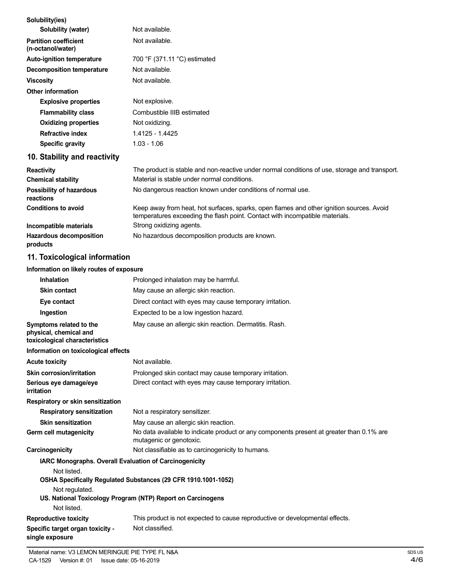| Solubility(ies)                                                                    |                                                                                                                                                                          |
|------------------------------------------------------------------------------------|--------------------------------------------------------------------------------------------------------------------------------------------------------------------------|
| Solubility (water)                                                                 | Not available.                                                                                                                                                           |
| <b>Partition coefficient</b><br>(n-octanol/water)                                  | Not available.                                                                                                                                                           |
| Auto-ignition temperature                                                          | 700 °F (371.11 °C) estimated                                                                                                                                             |
| <b>Decomposition temperature</b>                                                   | Not available.                                                                                                                                                           |
| <b>Viscosity</b>                                                                   | Not available.                                                                                                                                                           |
| <b>Other information</b>                                                           |                                                                                                                                                                          |
| <b>Explosive properties</b>                                                        | Not explosive.                                                                                                                                                           |
| <b>Flammability class</b>                                                          | Combustible IIIB estimated                                                                                                                                               |
| <b>Oxidizing properties</b>                                                        | Not oxidizing.                                                                                                                                                           |
| <b>Refractive index</b>                                                            | 1.4125 - 1.4425                                                                                                                                                          |
| <b>Specific gravity</b>                                                            | $1.03 - 1.06$                                                                                                                                                            |
| 10. Stability and reactivity                                                       |                                                                                                                                                                          |
| <b>Reactivity</b>                                                                  | The product is stable and non-reactive under normal conditions of use, storage and transport.                                                                            |
| <b>Chemical stability</b>                                                          | Material is stable under normal conditions.                                                                                                                              |
| <b>Possibility of hazardous</b><br>reactions                                       | No dangerous reaction known under conditions of normal use.                                                                                                              |
| <b>Conditions to avoid</b>                                                         | Keep away from heat, hot surfaces, sparks, open flames and other ignition sources. Avoid<br>temperatures exceeding the flash point. Contact with incompatible materials. |
| Incompatible materials                                                             | Strong oxidizing agents.                                                                                                                                                 |
| <b>Hazardous decomposition</b><br>products                                         | No hazardous decomposition products are known.                                                                                                                           |
| 11. Toxicological information                                                      |                                                                                                                                                                          |
| Information on likely routes of exposure                                           |                                                                                                                                                                          |
| <b>Inhalation</b>                                                                  | Prolonged inhalation may be harmful.                                                                                                                                     |
| <b>Skin contact</b>                                                                | May cause an allergic skin reaction.                                                                                                                                     |
| Eye contact                                                                        | Direct contact with eyes may cause temporary irritation.                                                                                                                 |
| Ingestion                                                                          | Expected to be a low ingestion hazard.                                                                                                                                   |
| Symptoms related to the<br>physical, chemical and<br>toxicological characteristics | May cause an allergic skin reaction. Dermatitis. Rash.                                                                                                                   |
| Information on toxicological effects                                               |                                                                                                                                                                          |
| <b>Acute toxicity</b>                                                              | Not available.                                                                                                                                                           |
| <b>Skin corrosion/irritation</b>                                                   | Prolonged skin contact may cause temporary irritation.                                                                                                                   |
| Serious eye damage/eye<br>irritation                                               | Direct contact with eyes may cause temporary irritation.                                                                                                                 |
| Respiratory or skin sensitization                                                  |                                                                                                                                                                          |
| <b>Respiratory sensitization</b>                                                   | Not a respiratory sensitizer.                                                                                                                                            |
| <b>Skin sensitization</b>                                                          | May cause an allergic skin reaction.                                                                                                                                     |
| <b>Germ cell mutagenicity</b>                                                      | No data available to indicate product or any components present at greater than 0.1% are                                                                                 |

mutagenic or genotoxic. **Carcinogenicity Carcinogenicity Not classifiable as to carcinogenicity to humans.** 

**IARC Monographs. Overall Evaluation of Carcinogenicity**

Not listed. **OSHA Specifically Regulated Substances (29 CFR 1910.1001-1052)** Not regulated. **US. National Toxicology Program (NTP) Report on Carcinogens** Not listed. **Reproductive toxicity**

#### **Specific target organ toxicity single exposure** This product is not expected to cause reproductive or developmental effects. Not classified.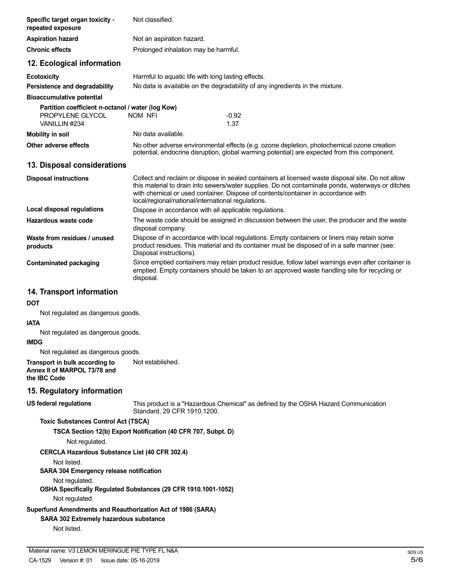| Specific target organ toxicity -<br>repeated exposure                                                                | Not classified.                                                                                                                                                                                                                                                                                                                                   |               |
|----------------------------------------------------------------------------------------------------------------------|---------------------------------------------------------------------------------------------------------------------------------------------------------------------------------------------------------------------------------------------------------------------------------------------------------------------------------------------------|---------------|
| <b>Aspiration hazard</b>                                                                                             | Not an aspiration hazard.                                                                                                                                                                                                                                                                                                                         |               |
| <b>Chronic effects</b>                                                                                               | Prolonged inhalation may be harmful.                                                                                                                                                                                                                                                                                                              |               |
| 12. Ecological information                                                                                           |                                                                                                                                                                                                                                                                                                                                                   |               |
| <b>Ecotoxicity</b>                                                                                                   | Harmful to aquatic life with long lasting effects.                                                                                                                                                                                                                                                                                                |               |
| Persistence and degradability                                                                                        | No data is available on the degradability of any ingredients in the mixture.                                                                                                                                                                                                                                                                      |               |
| <b>Bioaccumulative potential</b>                                                                                     |                                                                                                                                                                                                                                                                                                                                                   |               |
| Partition coefficient n-octanol / water (log Kow)<br>PROPYLENE GLYCOL<br>VANILLIN #234                               | NOM NFI<br>$-0.92$<br>1.37                                                                                                                                                                                                                                                                                                                        |               |
| <b>Mobility in soil</b>                                                                                              | No data available.                                                                                                                                                                                                                                                                                                                                |               |
| Other adverse effects                                                                                                | No other adverse environmental effects (e.g. ozone depletion, photochemical ozone creation<br>potential, endocrine disruption, global warming potential) are expected from this component.                                                                                                                                                        |               |
| 13. Disposal considerations                                                                                          |                                                                                                                                                                                                                                                                                                                                                   |               |
| <b>Disposal instructions</b>                                                                                         | Collect and reclaim or dispose in sealed containers at licensed waste disposal site. Do not allow<br>this material to drain into sewers/water supplies. Do not contaminate ponds, waterways or ditches<br>with chemical or used container. Dispose of contents/container in accordance with<br>local/regional/national/international regulations. |               |
| Local disposal regulations                                                                                           | Dispose in accordance with all applicable regulations.                                                                                                                                                                                                                                                                                            |               |
| Hazardous waste code                                                                                                 | The waste code should be assigned in discussion between the user, the producer and the waste<br>disposal company.                                                                                                                                                                                                                                 |               |
| Waste from residues / unused<br>products                                                                             | Dispose of in accordance with local regulations. Empty containers or liners may retain some<br>product residues. This material and its container must be disposed of in a safe manner (see:<br>Disposal instructions).                                                                                                                            |               |
| <b>Contaminated packaging</b>                                                                                        | Since emptied containers may retain product residue, follow label warnings even after container is<br>emptied. Empty containers should be taken to an approved waste handling site for recycling or<br>disposal.                                                                                                                                  |               |
| 14. Transport information                                                                                            |                                                                                                                                                                                                                                                                                                                                                   |               |
| <b>DOT</b>                                                                                                           |                                                                                                                                                                                                                                                                                                                                                   |               |
| Not regulated as dangerous goods.                                                                                    |                                                                                                                                                                                                                                                                                                                                                   |               |
| <b>IATA</b>                                                                                                          |                                                                                                                                                                                                                                                                                                                                                   |               |
| Not regulated as dangerous goods.<br><b>IMDG</b>                                                                     |                                                                                                                                                                                                                                                                                                                                                   |               |
| Not regulated as dangerous goods.                                                                                    |                                                                                                                                                                                                                                                                                                                                                   |               |
| Transport in bulk according to<br>Annex II of MARPOL 73/78 and<br>the IBC Code                                       | Not established.                                                                                                                                                                                                                                                                                                                                  |               |
| 15. Regulatory information                                                                                           |                                                                                                                                                                                                                                                                                                                                                   |               |
| <b>US federal regulations</b>                                                                                        | This product is a "Hazardous Chemical" as defined by the OSHA Hazard Communication<br>Standard, 29 CFR 1910.1200.                                                                                                                                                                                                                                 |               |
| <b>Toxic Substances Control Act (TSCA)</b>                                                                           |                                                                                                                                                                                                                                                                                                                                                   |               |
| Not regulated.                                                                                                       | TSCA Section 12(b) Export Notification (40 CFR 707, Subpt. D)                                                                                                                                                                                                                                                                                     |               |
| <b>CERCLA Hazardous Substance List (40 CFR 302.4)</b>                                                                |                                                                                                                                                                                                                                                                                                                                                   |               |
| Not listed.<br>SARA 304 Emergency release notification                                                               |                                                                                                                                                                                                                                                                                                                                                   |               |
| Not regulated.<br>Not regulated.                                                                                     | OSHA Specifically Regulated Substances (29 CFR 1910.1001-1052)                                                                                                                                                                                                                                                                                    |               |
| Superfund Amendments and Reauthorization Act of 1986 (SARA)<br>SARA 302 Extremely hazardous substance<br>Not listed. |                                                                                                                                                                                                                                                                                                                                                   |               |
|                                                                                                                      |                                                                                                                                                                                                                                                                                                                                                   |               |
| Material name: V3 LEMON MERINGUE PIE TYPE FL N&A<br>CA-1529<br>Version #: 01<br>Issue date: 05-16-2019               |                                                                                                                                                                                                                                                                                                                                                   | SDS US<br>5/6 |